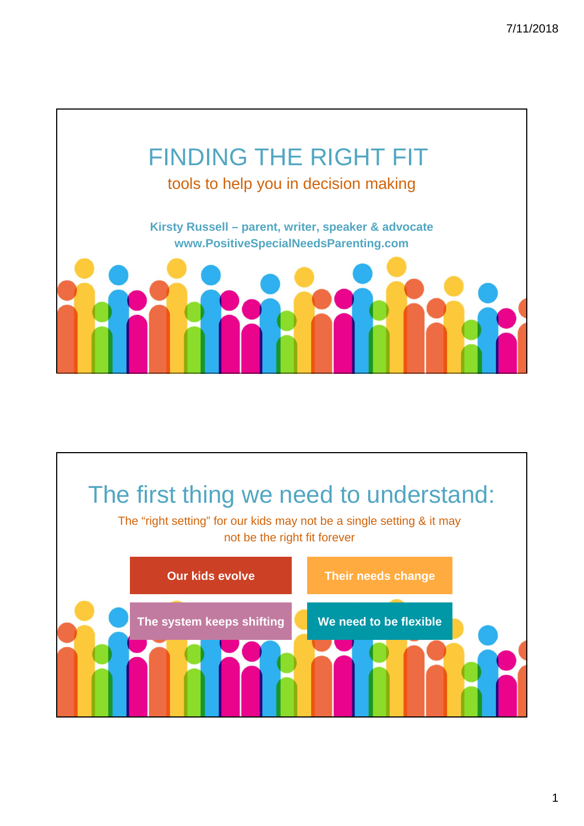

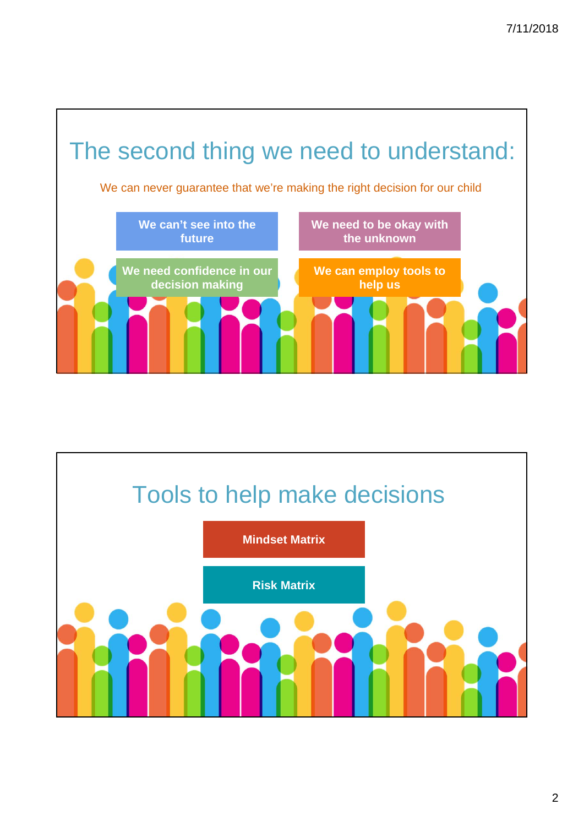

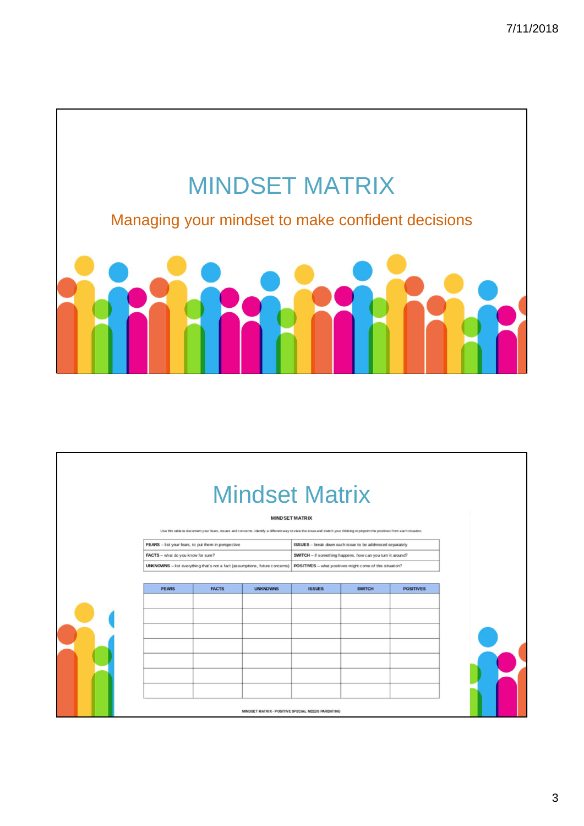

|                                                                                                                   |              | <b>Mindset Matrix</b><br>Use this table to document your fears, issues and concerns. Identify a different way to view the issue and switch your thinking to pinpoint the positives from each situation. | <b>MIND SET MATRIX</b>                                                                                                 |               |                  |  |
|-------------------------------------------------------------------------------------------------------------------|--------------|---------------------------------------------------------------------------------------------------------------------------------------------------------------------------------------------------------|------------------------------------------------------------------------------------------------------------------------|---------------|------------------|--|
| FEARS - list your fears, to put them in perspective                                                               |              |                                                                                                                                                                                                         | ISSUES - break down each is sue to be addressed separately                                                             |               |                  |  |
| FACTS - what do you know for sure?<br>UNKNOWNS - list everything that's not a fact (assumptions, future concerns) |              |                                                                                                                                                                                                         | SWITCH - if something happens, how can you turn it around?<br>POSITIVES - what positives might come of this situation? |               |                  |  |
|                                                                                                                   |              |                                                                                                                                                                                                         |                                                                                                                        |               |                  |  |
| <b>FEARS</b>                                                                                                      | <b>FACTS</b> | <b>UNKNOWNS</b>                                                                                                                                                                                         | <b>ISSUES</b>                                                                                                          | <b>SWITCH</b> | <b>POSITIVES</b> |  |
|                                                                                                                   |              |                                                                                                                                                                                                         |                                                                                                                        |               |                  |  |
|                                                                                                                   |              |                                                                                                                                                                                                         |                                                                                                                        |               |                  |  |
|                                                                                                                   |              |                                                                                                                                                                                                         |                                                                                                                        |               |                  |  |
|                                                                                                                   |              |                                                                                                                                                                                                         |                                                                                                                        |               |                  |  |
|                                                                                                                   |              |                                                                                                                                                                                                         |                                                                                                                        |               |                  |  |
|                                                                                                                   |              |                                                                                                                                                                                                         |                                                                                                                        |               |                  |  |
|                                                                                                                   |              |                                                                                                                                                                                                         |                                                                                                                        |               |                  |  |
|                                                                                                                   |              |                                                                                                                                                                                                         |                                                                                                                        |               |                  |  |
|                                                                                                                   |              | MINDSET MATRIX - POSITIVE SPECIAL NEEDS PARENTING                                                                                                                                                       |                                                                                                                        |               |                  |  |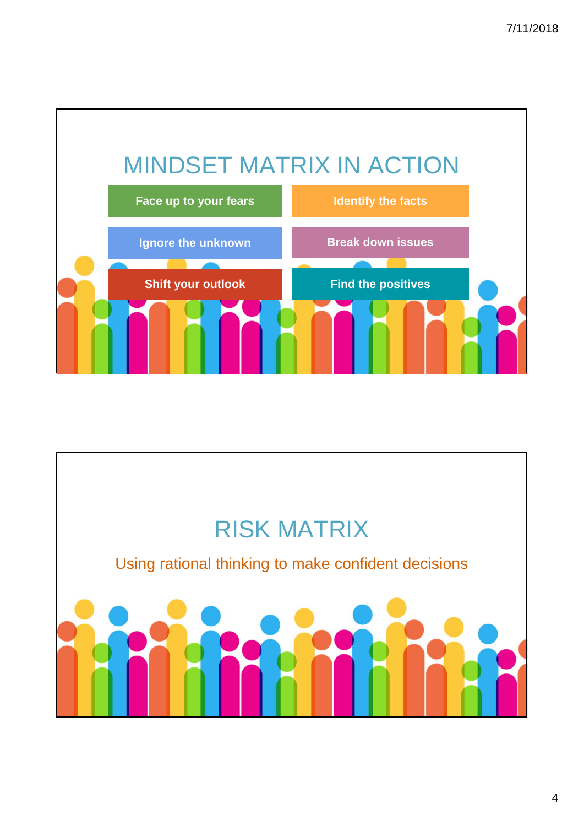